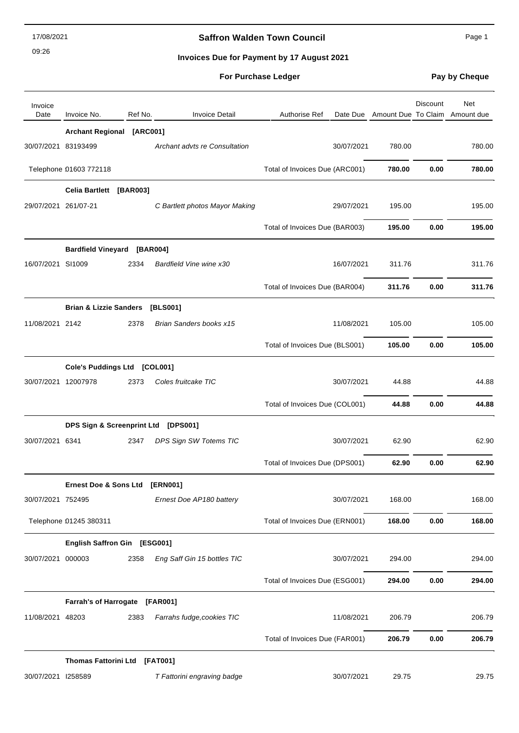09:26

# **Saffron Walden Town Council Canadian Council** Page 1

**Invoices Due for Payment by 17 August 2021**

| Invoice<br>Date      | Invoice No.                         | Ref No. | <b>Invoice Detail</b>          | <b>Authorise Ref</b>           | Date Due Amount Due To Claim Amount due | Discount | Net    |
|----------------------|-------------------------------------|---------|--------------------------------|--------------------------------|-----------------------------------------|----------|--------|
|                      | Archant Regional [ARC001]           |         |                                |                                |                                         |          |        |
| 30/07/2021 83193499  |                                     |         | Archant advts re Consultation  | 30/07/2021                     | 780.00                                  |          | 780.00 |
|                      | Telephone 01603 772118              |         |                                | Total of Invoices Due (ARC001) | 780.00                                  | 0.00     | 780.00 |
|                      | Celia Bartlett [BAR003]             |         |                                |                                |                                         |          |        |
| 29/07/2021 261/07-21 |                                     |         | C Bartlett photos Mayor Making | 29/07/2021                     | 195.00                                  |          | 195.00 |
|                      |                                     |         |                                | Total of Invoices Due (BAR003) | 195.00                                  | 0.00     | 195.00 |
|                      | <b>Bardfield Vineyard [BAR004]</b>  |         |                                |                                |                                         |          |        |
| 16/07/2021 SI1009    |                                     | 2334    | Bardfield Vine wine x30        | 16/07/2021                     | 311.76                                  |          | 311.76 |
|                      |                                     |         |                                | Total of Invoices Due (BAR004) | 311.76                                  | 0.00     | 311.76 |
|                      | <b>Brian &amp; Lizzie Sanders</b>   |         | [BLS001]                       |                                |                                         |          |        |
| 11/08/2021 2142      |                                     | 2378    | Brian Sanders books x15        | 11/08/2021                     | 105.00                                  |          | 105.00 |
|                      |                                     |         |                                | Total of Invoices Due (BLS001) | 105.00                                  | 0.00     | 105.00 |
|                      | Cole's Puddings Ltd [COL001]        |         |                                |                                |                                         |          |        |
| 30/07/2021 12007978  |                                     | 2373    | Coles fruitcake TIC            | 30/07/2021                     | 44.88                                   |          | 44.88  |
|                      |                                     |         |                                | Total of Invoices Due (COL001) | 44.88                                   | 0.00     | 44.88  |
|                      | DPS Sign & Screenprint Ltd [DPS001] |         |                                |                                |                                         |          |        |
| 30/07/2021 6341      |                                     | 2347    | DPS Sign SW Totems TIC         | 30/07/2021                     | 62.90                                   |          | 62.90  |
|                      |                                     |         |                                | Total of Invoices Due (DPS001) | 62.90                                   | 0.00     | 62.90  |
|                      | <b>Ernest Doe &amp; Sons Ltd</b>    |         | [ERN001]                       |                                |                                         |          |        |
| 30/07/2021 752495    |                                     |         | Ernest Doe AP180 battery       | 30/07/2021                     | 168.00                                  |          | 168.00 |
|                      | Telephone 01245 380311              |         |                                | Total of Invoices Due (ERN001) | 168.00                                  | 0.00     | 168.00 |
|                      | English Saffron Gin [ESG001]        |         |                                |                                |                                         |          |        |
| 30/07/2021 000003    |                                     | 2358    | Eng Saff Gin 15 bottles TIC    | 30/07/2021                     | 294.00                                  |          | 294.00 |
|                      |                                     |         |                                | Total of Invoices Due (ESG001) | 294.00                                  | 0.00     | 294.00 |
|                      | Farrah's of Harrogate [FAR001]      |         |                                |                                |                                         |          |        |
| 11/08/2021 48203     |                                     | 2383    | Farrahs fudge, cookies TIC     | 11/08/2021                     | 206.79                                  |          | 206.79 |
|                      |                                     |         |                                | Total of Invoices Due (FAR001) | 206.79                                  | 0.00     | 206.79 |
|                      | Thomas Fattorini Ltd [FAT001]       |         |                                |                                |                                         |          |        |
| 30/07/2021 1258589   |                                     |         | T Fattorini engraving badge    | 30/07/2021                     | 29.75                                   |          | 29.75  |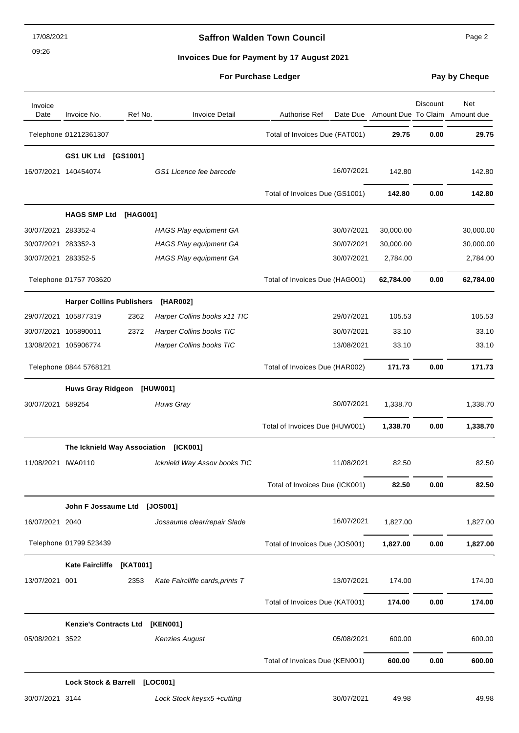09:26

## **Saffron Walden Town Council** Manual Page 2

**Invoices Due for Payment by 17 August 2021**

| Invoice<br>Date     | Invoice No.                           | Ref No.  | <b>Invoice Detail</b>           | <b>Authorise Ref</b><br>Date Due |           | Discount | Net<br>Amount Due To Claim Amount due |
|---------------------|---------------------------------------|----------|---------------------------------|----------------------------------|-----------|----------|---------------------------------------|
|                     | Telephone 01212361307                 |          |                                 | Total of Invoices Due (FAT001)   | 29.75     | 0.00     | 29.75                                 |
|                     | GS1 UK Ltd                            | [GS1001] |                                 |                                  |           |          |                                       |
|                     | 16/07/2021 140454074                  |          | GS1 Licence fee barcode         | 16/07/2021                       | 142.80    |          | 142.80                                |
|                     |                                       |          |                                 | Total of Invoices Due (GS1001)   | 142.80    | 0.00     | 142.80                                |
|                     | <b>HAGS SMP Ltd</b>                   | [HAG001] |                                 |                                  |           |          |                                       |
| 30/07/2021 283352-4 |                                       |          | <b>HAGS Play equipment GA</b>   | 30/07/2021                       | 30,000.00 |          | 30,000.00                             |
| 30/07/2021 283352-3 |                                       |          | <b>HAGS Play equipment GA</b>   | 30/07/2021                       | 30,000.00 |          | 30,000.00                             |
| 30/07/2021 283352-5 |                                       |          | <b>HAGS Play equipment GA</b>   | 30/07/2021                       | 2,784.00  |          | 2,784.00                              |
|                     | Telephone 01757 703620                |          |                                 | Total of Invoices Due (HAG001)   | 62,784.00 | 0.00     | 62,784.00                             |
|                     | <b>Harper Collins Publishers</b>      |          | [HAR002]                        |                                  |           |          |                                       |
|                     | 29/07/2021 105877319                  | 2362     | Harper Collins books x11 TIC    | 29/07/2021                       | 105.53    |          | 105.53                                |
|                     | 30/07/2021 105890011                  | 2372     | Harper Collins books TIC        | 30/07/2021                       | 33.10     |          | 33.10                                 |
|                     | 13/08/2021 105906774                  |          | Harper Collins books TIC        | 13/08/2021                       | 33.10     |          | 33.10                                 |
|                     | Telephone 0844 5768121                |          |                                 | Total of Invoices Due (HAR002)   | 171.73    | 0.00     | 171.73                                |
|                     | Huws Gray Ridgeon [HUW001]            |          |                                 |                                  |           |          |                                       |
| 30/07/2021 589254   |                                       |          | Huws Gray                       | 30/07/2021                       | 1,338.70  |          | 1,338.70                              |
|                     |                                       |          |                                 | Total of Invoices Due (HUW001)   | 1,338.70  | 0.00     | 1,338.70                              |
|                     | The Icknield Way Association [ICK001] |          |                                 |                                  |           |          |                                       |
| 11/08/2021 IWA0110  |                                       |          | Icknield Way Assov books TIC    | 11/08/2021                       | 82.50     |          | 82.50                                 |
|                     |                                       |          |                                 | Total of Invoices Due (ICK001)   | 82.50     | 0.00     | 82.50                                 |
|                     | John F Jossaume Ltd [JOS001]          |          |                                 |                                  |           |          |                                       |
| 16/07/2021 2040     |                                       |          | Jossaume clear/repair Slade     | 16/07/2021                       | 1,827.00  |          | 1,827.00                              |
|                     | Telephone 01799 523439                |          |                                 | Total of Invoices Due (JOS001)   | 1,827.00  | 0.00     | 1,827.00                              |
|                     | <b>Kate Faircliffe</b>                | [KAT001] |                                 |                                  |           |          |                                       |
| 13/07/2021 001      |                                       | 2353     | Kate Faircliffe cards, prints T | 13/07/2021                       | 174.00    |          | 174.00                                |
|                     |                                       |          |                                 | Total of Invoices Due (KAT001)   | 174.00    | 0.00     | 174.00                                |
|                     | <b>Kenzie's Contracts Ltd</b>         |          | [KEN001]                        |                                  |           |          |                                       |
| 05/08/2021 3522     |                                       |          | <b>Kenzies August</b>           | 05/08/2021                       | 600.00    |          | 600.00                                |
|                     |                                       |          |                                 | Total of Invoices Due (KEN001)   | 600.00    | 0.00     | 600.00                                |
|                     | Lock Stock & Barrell [LOC001]         |          |                                 |                                  |           |          |                                       |
| 30/07/2021 3144     |                                       |          | Lock Stock keysx5 +cutting      | 30/07/2021                       | 49.98     |          | 49.98                                 |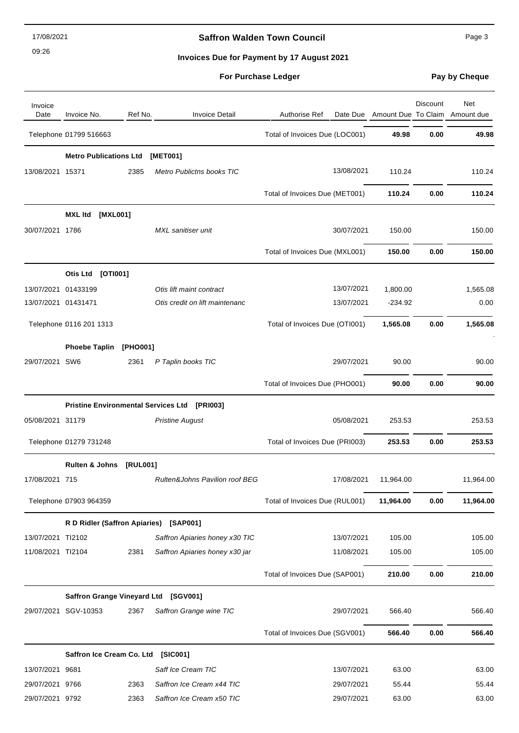09:26

# **Saffron Walden Town Council Page 3**

**Invoices Due for Payment by 17 August 2021**

|  | <b>For Purchase Ledger</b> |  |  |  |
|--|----------------------------|--|--|--|
|--|----------------------------|--|--|--|

**Pay by Cheque** 

| Invoice<br>Date     | Invoice No.                            | Ref No.  | <b>Invoice Detail</b>                        | Authorise Ref                  |           | Discount | Net<br>Date Due Amount Due To Claim Amount due |
|---------------------|----------------------------------------|----------|----------------------------------------------|--------------------------------|-----------|----------|------------------------------------------------|
|                     | Telephone 01799 516663                 |          |                                              | Total of Invoices Due (LOC001) | 49.98     | 0.00     | 49.98                                          |
|                     | <b>Metro Publications Ltd</b>          |          | [MET001]                                     |                                |           |          |                                                |
| 13/08/2021 15371    |                                        | 2385     | <b>Metro Publictns books TIC</b>             | 13/08/2021                     | 110.24    |          | 110.24                                         |
|                     |                                        |          |                                              | Total of Invoices Due (MET001) | 110.24    | 0.00     | 110.24                                         |
|                     | [MXL001]<br><b>MXL Itd</b>             |          |                                              |                                |           |          |                                                |
| 30/07/2021 1786     |                                        |          | MXL sanitiser unit                           | 30/07/2021                     | 150.00    |          | 150.00                                         |
|                     |                                        |          |                                              | Total of Invoices Due (MXL001) | 150.00    | 0.00     | 150.00                                         |
|                     | Otis Ltd [OTI001]                      |          |                                              |                                |           |          |                                                |
| 13/07/2021 01433199 |                                        |          | Otis lift maint contract                     | 13/07/2021                     | 1,800.00  |          | 1,565.08                                       |
| 13/07/2021 01431471 |                                        |          | Otis credit on lift maintenanc               | 13/07/2021                     | $-234.92$ |          | 0.00                                           |
|                     | Telephone 0116 201 1313                |          |                                              | Total of Invoices Due (OTI001) | 1,565.08  | 0.00     | 1,565.08                                       |
|                     | <b>Phoebe Taplin</b>                   | [PHO001] |                                              |                                |           |          |                                                |
| 29/07/2021 SW6      |                                        | 2361     | P Taplin books TIC                           | 29/07/2021                     | 90.00     |          | 90.00                                          |
|                     |                                        |          |                                              | Total of Invoices Due (PHO001) | 90.00     | 0.00     | 90.00                                          |
|                     |                                        |          | Pristine Environmental Services Ltd [PRI003] |                                |           |          |                                                |
| 05/08/2021 31179    |                                        |          | <b>Pristine August</b>                       | 05/08/2021                     | 253.53    |          | 253.53                                         |
|                     | Telephone 01279 731248                 |          |                                              | Total of Invoices Due (PRI003) | 253.53    | 0.00     | 253.53                                         |
|                     | <b>Rulten &amp; Johns</b>              | [RUL001] |                                              |                                |           |          |                                                |
| 17/08/2021 715      |                                        |          | Rulten&Johns Pavilion roof BEG               | 17/08/2021                     | 11,964.00 |          | 11,964.00                                      |
|                     | Telephone 07903 964359                 |          |                                              | Total of Invoices Due (RUL001) | 11,964.00 | 0.00     | 11,964.00                                      |
|                     | R D Ridler (Saffron Apiaries) [SAP001] |          |                                              |                                |           |          |                                                |
| 13/07/2021 TI2102   |                                        |          | Saffron Apiaries honey x30 TIC               | 13/07/2021                     | 105.00    |          | 105.00                                         |
| 11/08/2021 TI2104   |                                        | 2381     | Saffron Apiaries honey x30 jar               | 11/08/2021                     | 105.00    |          | 105.00                                         |
|                     |                                        |          |                                              | Total of Invoices Due (SAP001) | 210.00    | 0.00     | 210.00                                         |
|                     | Saffron Grange Vineyard Ltd [SGV001]   |          |                                              |                                |           |          |                                                |
|                     | 29/07/2021 SGV-10353                   | 2367     | Saffron Grange wine TIC                      | 29/07/2021                     | 566.40    |          | 566.40                                         |
|                     |                                        |          |                                              | Total of Invoices Due (SGV001) | 566.40    | 0.00     | 566.40                                         |
|                     | Saffron Ice Cream Co. Ltd [SIC001]     |          |                                              |                                |           |          |                                                |
| 13/07/2021 9681     |                                        |          | Saff Ice Cream TIC                           | 13/07/2021                     | 63.00     |          | 63.00                                          |
| 29/07/2021 9766     |                                        | 2363     | Saffron Ice Cream x44 TIC                    | 29/07/2021                     | 55.44     |          | 55.44                                          |
| 29/07/2021 9792     |                                        | 2363     | Saffron Ice Cream x50 TIC                    | 29/07/2021                     | 63.00     |          | 63.00                                          |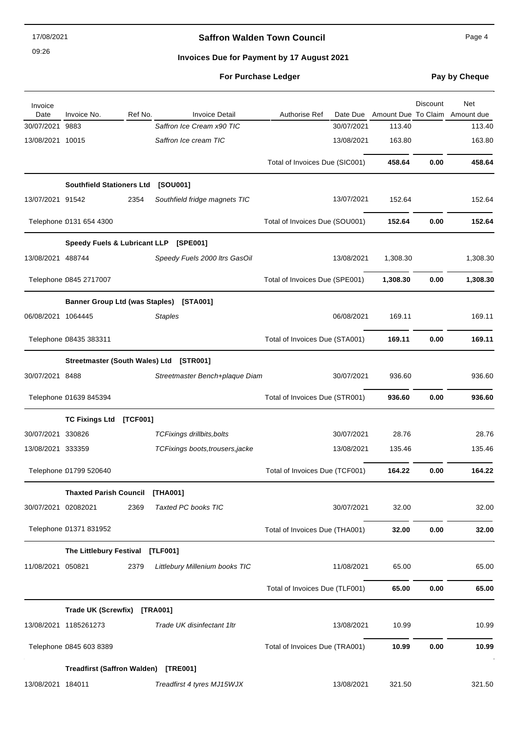09:26

# **Saffron Walden Town Council** Manual Page 4

### **Invoices Due for Payment by 17 August 2021**

| Invoice<br>Date     | Invoice No.                          | Ref No.  | <b>Invoice Detail</b>                   | <b>Authorise Ref</b><br>Date Due |          | Discount | Net<br>Amount Due To Claim Amount due |
|---------------------|--------------------------------------|----------|-----------------------------------------|----------------------------------|----------|----------|---------------------------------------|
| 30/07/2021          | 9883                                 |          | Saffron Ice Cream x90 TIC               | 30/07/2021                       | 113.40   |          | 113.40                                |
| 13/08/2021 10015    |                                      |          | Saffron Ice cream TIC                   | 13/08/2021                       | 163.80   |          | 163.80                                |
|                     |                                      |          |                                         | Total of Invoices Due (SIC001)   | 458.64   | 0.00     | 458.64                                |
|                     | <b>Southfield Stationers Ltd</b>     |          | [SOU001]                                |                                  |          |          |                                       |
| 13/07/2021 91542    |                                      | 2354     | Southfield fridge magnets TIC           | 13/07/2021                       | 152.64   |          | 152.64                                |
|                     | Telephone 0131 654 4300              |          |                                         | Total of Invoices Due (SOU001)   | 152.64   | 0.00     | 152.64                                |
|                     |                                      |          | Speedy Fuels & Lubricant LLP [SPE001]   |                                  |          |          |                                       |
| 13/08/2021 488744   |                                      |          | Speedy Fuels 2000 Itrs GasOil           | 13/08/2021                       | 1,308.30 |          | 1,308.30                              |
|                     | Telephone 0845 2717007               |          |                                         | Total of Invoices Due (SPE001)   | 1,308.30 | 0.00     | 1,308.30                              |
|                     |                                      |          | Banner Group Ltd (was Staples) [STA001] |                                  |          |          |                                       |
| 06/08/2021 1064445  |                                      |          | <b>Staples</b>                          | 06/08/2021                       | 169.11   |          | 169.11                                |
|                     | Telephone 08435 383311               |          |                                         | Total of Invoices Due (STA001)   | 169.11   | 0.00     | 169.11                                |
|                     |                                      |          | Streetmaster (South Wales) Ltd [STR001] |                                  |          |          |                                       |
| 30/07/2021 8488     |                                      |          | Streetmaster Bench+plaque Diam          | 30/07/2021                       | 936.60   |          | 936.60                                |
|                     | Telephone 01639 845394               |          |                                         | Total of Invoices Due (STR001)   | 936.60   | 0.00     | 936.60                                |
|                     | <b>TC Fixings Ltd</b>                | [TCF001] |                                         |                                  |          |          |                                       |
| 30/07/2021 330826   |                                      |          | <b>TCFixings drillbits, bolts</b>       | 30/07/2021                       | 28.76    |          | 28.76                                 |
| 13/08/2021 333359   |                                      |          | TCFixings boots, trousers, jacke        | 13/08/2021                       | 135.46   |          | 135.46                                |
|                     | Telephone 01799 520640               |          |                                         | Total of Invoices Due (TCF001)   | 164.22   | 0.00     | 164.22                                |
|                     | <b>Thaxted Parish Council</b>        |          | [THA001]                                |                                  |          |          |                                       |
| 30/07/2021 02082021 |                                      | 2369     | Taxted PC books TIC                     | 30/07/2021                       | 32.00    |          | 32.00                                 |
|                     | Telephone 01371 831952               |          |                                         | Total of Invoices Due (THA001)   | 32.00    | 0.00     | 32.00                                 |
|                     | The Littlebury Festival [TLF001]     |          |                                         |                                  |          |          |                                       |
| 11/08/2021 050821   |                                      | 2379     | Littlebury Millenium books TIC          | 11/08/2021                       | 65.00    |          | 65.00                                 |
|                     |                                      |          |                                         | Total of Invoices Due (TLF001)   | 65.00    | 0.00     | 65.00                                 |
|                     | <b>Trade UK (Screwfix)</b>           |          | [TRA001]                                |                                  |          |          |                                       |
|                     | 13/08/2021 1185261273                |          | Trade UK disinfectant 1ltr              | 13/08/2021                       | 10.99    |          | 10.99                                 |
|                     | Telephone 0845 603 8389              |          |                                         | Total of Invoices Due (TRA001)   | 10.99    | 0.00     | 10.99                                 |
|                     | Treadfirst (Saffron Walden) [TRE001] |          |                                         |                                  |          |          |                                       |
| 13/08/2021 184011   |                                      |          | Treadfirst 4 tyres MJ15WJX              | 13/08/2021                       | 321.50   |          | 321.50                                |